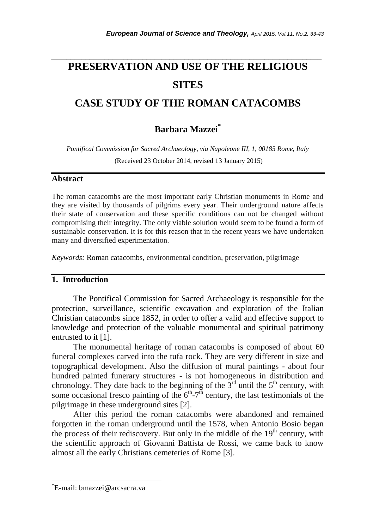# **PRESERVATION AND USE OF THE RELIGIOUS SITES**

*\_\_\_\_\_\_\_\_\_\_\_\_\_\_\_\_\_\_\_\_\_\_\_\_\_\_\_\_\_\_\_\_\_\_\_\_\_\_\_\_\_\_\_\_\_\_\_\_\_\_\_\_\_\_\_\_\_\_\_\_\_\_\_\_\_\_\_\_\_\_\_*

# **CASE STUDY OF THE ROMAN CATACOMBS**

# **Barbara Mazzei\***

*Pontifical Commission for Sacred Archaeology, via Napoleone III, 1, 00185 Rome, Italy* (Received 23 October 2014, revised 13 January 2015)

#### **Abstract**

The roman catacombs are the most important early Christian monuments in Rome and they are visited by thousands of pilgrims every year. Their underground nature affects their state of conservation and these specific conditions can not be changed without compromising their integrity. The only viable solution would seem to be found a form of sustainable conservation. It is for this reason that in the recent years we have undertaken many and diversified experimentation.

*Keywords:* Roman catacombs, environmental condition, preservation, pilgrimage

# **1. Introduction**

The Pontifical Commission for Sacred Archaeology is responsible for the protection, surveillance, scientific excavation and exploration of the Italian Christian catacombs since 1852, in order to offer a valid and effective support to knowledge and protection of the valuable monumental and spiritual patrimony entrusted to it [1].

The monumental heritage of roman catacombs is composed of about 60 funeral complexes carved into the tufa rock. They are very different in size and topographical development. Also the diffusion of mural paintings - about four hundred painted funerary structures - is not homogeneous in distribution and chronology. They date back to the beginning of the  $3<sup>rd</sup>$  until the  $5<sup>th</sup>$  century, with some occasional fresco painting of the  $6<sup>th</sup> - 7<sup>th</sup>$  century, the last testimonials of the pilgrimage in these underground sites [2].

After this period the roman catacombs were abandoned and remained forgotten in the roman underground until the 1578, when Antonio Bosio began the process of their rediscovery. But only in the middle of the  $19<sup>th</sup>$  century, with the scientific approach of Giovanni Battista de Rossi, we came back to know almost all the early Christians cemeteries of Rome [3].

l

<sup>\*</sup>E-mail: bmazzei@arcsacra.va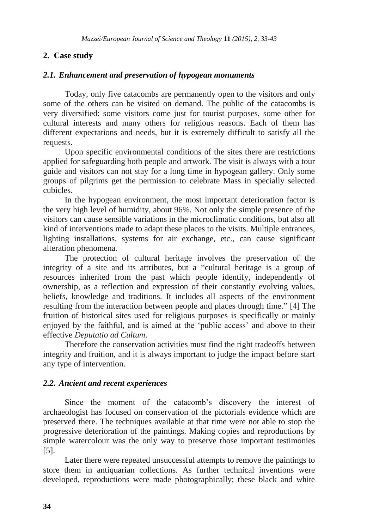# **2. Case study**

#### *2.1. Enhancement and preservation of hypogean monuments*

Today, only five catacombs are permanently open to the visitors and only some of the others can be visited on demand. The public of the catacombs is very diversified: some visitors come just for tourist purposes, some other for cultural interests and many others for religious reasons. Each of them has different expectations and needs, but it is extremely difficult to satisfy all the requests.

Upon specific environmental conditions of the sites there are restrictions applied for safeguarding both people and artwork. The visit is always with a tour guide and visitors can not stay for a long time in hypogean gallery. Only some groups of pilgrims get the permission to celebrate Mass in specially selected cubicles.

In the hypogean environment, the most important deterioration factor is the very high level of humidity, about 96%. Not only the simple presence of the visitors can cause sensible variations in the microclimatic conditions, but also all kind of interventions made to adapt these places to the visits. Multiple entrances, lighting installations, systems for air exchange, etc., can cause significant alteration phenomena.

The protection of cultural heritage involves the preservation of the integrity of a site and its attributes, but a "cultural heritage is a group of resources inherited from the past which people identify, independently of ownership, as a reflection and expression of their constantly evolving values, beliefs, knowledge and traditions. It includes all aspects of the environment resulting from the interaction between people and places through time." [4] The fruition of historical sites used for religious purposes is specifically or mainly enjoyed by the faithful, and is aimed at the "public access" and above to their effective *Deputatio ad Cultum*.

Therefore the conservation activities must find the right tradeoffs between integrity and fruition, and it is always important to judge the impact before start any type of intervention.

# *2.2. Ancient and recent experiences*

Since the moment of the catacomb's discovery the interest of archaeologist has focused on conservation of the pictorials evidence which are preserved there. The techniques available at that time were not able to stop the progressive deterioration of the paintings. Making copies and reproductions by simple watercolour was the only way to preserve those important testimonies [5].

Later there were repeated unsuccessful attempts to remove the paintings to store them in antiquarian collections. As further technical inventions were developed, reproductions were made photographically; these black and white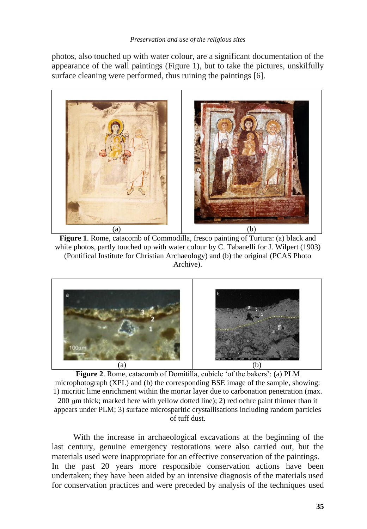photos, also touched up with water colour, are a significant documentation of the appearance of the wall paintings (Figure 1), but to take the pictures, unskilfully surface cleaning were performed, thus ruining the paintings [6].



**Figure 1**. Rome, catacomb of Commodilla, fresco painting of Turtura: (a) black and white photos, partly touched up with water colour by C. Tabanelli for J. Wilpert (1903) (Pontifical Institute for Christian Archaeology) and (b) the original (PCAS Photo Archive).



Figure 2. Rome, catacomb of Domitilla, cubicle 'of the bakers': (a) PLM microphotograph (XPL) and (b) the corresponding BSE image of the sample, showing: 1) micritic lime enrichment within the mortar layer due to carbonation penetration (max.  $200 \mu m$  thick; marked here with yellow dotted line); 2) red ochre paint thinner than it appears under PLM; 3) surface microsparitic crystallisations including random particles of tuff dust.

With the increase in archaeological excavations at the beginning of the last century, genuine emergency restorations were also carried out, but the materials used were inappropriate for an effective conservation of the paintings. In the past 20 years more responsible conservation actions have been undertaken; they have been aided by an intensive diagnosis of the materials used for conservation practices and were preceded by analysis of the techniques used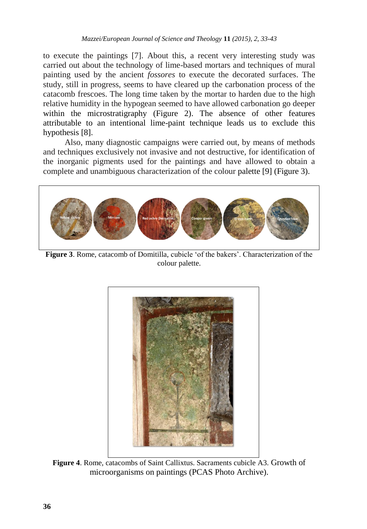to execute the paintings [7]. About this, a recent very interesting study was carried out about the technology of lime-based mortars and techniques of mural painting used by the ancient *fossores* to execute the decorated surfaces. The study, still in progress, seems to have cleared up the carbonation process of the catacomb frescoes. The long time taken by the mortar to harden due to the high relative humidity in the hypogean seemed to have allowed carbonation go deeper within the microstratigraphy (Figure 2). The absence of other features attributable to an intentional lime-paint technique leads us to exclude this hypothesis [8].

Also, many diagnostic campaigns were carried out, by means of methods and techniques exclusively not invasive and not destructive, for identification of the inorganic pigments used for the paintings and have allowed to obtain a complete and unambiguous characterization of the colour palette [9] (Figure 3).



Figure 3. Rome, catacomb of Domitilla, cubicle 'of the bakers'. Characterization of the colour palette.



**Figure 4**. Rome, catacombs of Saint Callixtus. Sacraments cubicle A3. Growth of microorganisms on paintings (PCAS Photo Archive).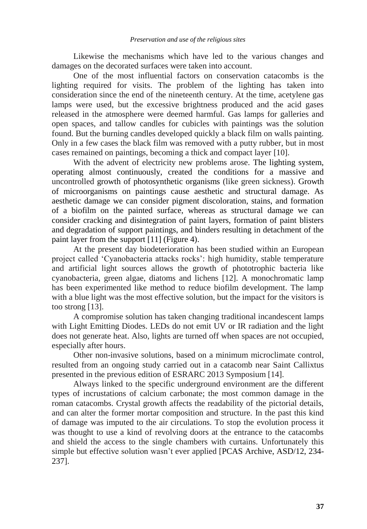Likewise the mechanisms which have led to the various changes and damages on the decorated surfaces were taken into account.

One of the most influential factors on conservation catacombs is the lighting required for visits. The problem of the lighting has taken into consideration since the end of the nineteenth century. At the time, acetylene gas lamps were used, but the excessive brightness produced and the acid gases released in the atmosphere were deemed harmful. Gas lamps for galleries and open spaces, and tallow candles for cubicles with paintings was the solution found. But the burning candles developed quickly a black film on walls painting. Only in a few cases the black film was removed with a putty rubber, but in most cases remained on paintings, becoming a thick and compact layer [10].

With the advent of electricity new problems arose. The lighting system, operating almost continuously, created the conditions for a massive and uncontrolled growth of photosynthetic organisms (like green sickness). Growth of microorganisms on paintings cause aesthetic and structural damage. As aesthetic damage we can consider pigment discoloration, stains, and formation of a biofilm on the painted surface, whereas as structural damage we can consider cracking and disintegration of paint layers, formation of paint blisters and degradation of support paintings, and binders resulting in detachment of the paint layer from the support [11] (Figure 4).

At the present day biodeterioration has been studied within an European project called "Cyanobacteria attacks rocks": high humidity, stable temperature and artificial light sources allows the growth of phototrophic bacteria like cyanobacteria, green algae, diatoms and lichens [12]. A monochromatic lamp has been experimented like method to reduce biofilm development. The lamp with a blue light was the most effective solution, but the impact for the visitors is too strong [13].

A compromise solution has taken changing traditional incandescent lamps with Light Emitting Diodes. LEDs do not emit UV or IR radiation and the light does not generate heat. Also, lights are turned off when spaces are not occupied, especially after hours.

Other non-invasive solutions, based on a minimum microclimate control, resulted from an ongoing study carried out in a catacomb near Saint Callixtus presented in the previous edition of ESRARC 2013 Symposium [14].

Always linked to the specific underground environment are the different types of incrustations of calcium carbonate; the most common damage in the roman catacombs. Crystal growth affects the readability of the pictorial details, and can alter the former mortar composition and structure. In the past this kind of damage was imputed to the air circulations. To stop the evolution process it was thought to use a kind of revolving doors at the entrance to the catacombs and shield the access to the single chambers with curtains. Unfortunately this simple but effective solution wasn't ever applied [PCAS Archive, ASD/12, 234-237].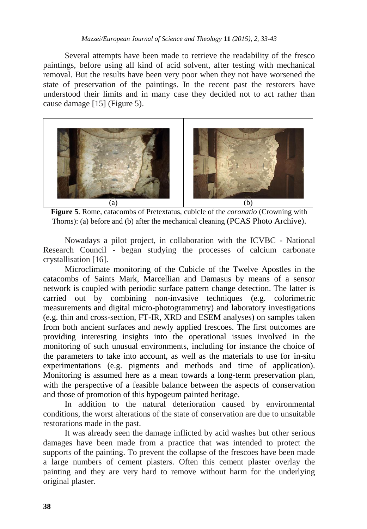Several attempts have been made to retrieve the readability of the fresco paintings, before using all kind of acid solvent, after testing with mechanical removal. But the results have been very poor when they not have worsened the state of preservation of the paintings. In the recent past the restorers have understood their limits and in many case they decided not to act rather than cause damage [15] (Figure 5).



**Figure 5**. Rome, catacombs of Pretextatus, cubicle of the *coronatio* (Crowning with Thorns): (a) before and (b) after the mechanical cleaning (PCAS Photo Archive).

Nowadays a pilot project, in collaboration with the ICVBC - National Research Council - began studying the processes of calcium carbonate crystallisation [16].

Microclimate monitoring of the Cubicle of the Twelve Apostles in the catacombs of Saints Mark, Marcellian and Damasus by means of a sensor network is coupled with periodic surface pattern change detection. The latter is carried out by combining non-invasive techniques (e.g. colorimetric measurements and digital micro-photogrammetry) and laboratory investigations (e.g. thin and cross-section, FT-IR, XRD and ESEM analyses) on samples taken from both ancient surfaces and newly applied frescoes. The first outcomes are providing interesting insights into the operational issues involved in the monitoring of such unusual environments, including for instance the choice of the parameters to take into account, as well as the materials to use for in-situ experimentations (e.g. pigments and methods and time of application). Monitoring is assumed here as a mean towards a long-term preservation plan, with the perspective of a feasible balance between the aspects of conservation and those of promotion of this hypogeum painted heritage.

In addition to the natural deterioration caused by environmental conditions, the worst alterations of the state of conservation are due to unsuitable restorations made in the past.

It was already seen the damage inflicted by acid washes but other serious damages have been made from a practice that was intended to protect the supports of the painting. To prevent the collapse of the frescoes have been made a large numbers of cement plasters. Often this cement plaster overlay the painting and they are very hard to remove without harm for the underlying original plaster.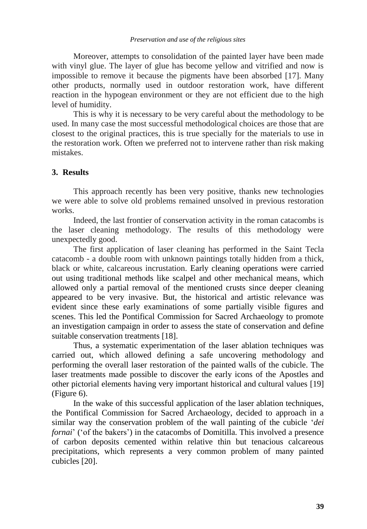Moreover, attempts to consolidation of the painted layer have been made with vinyl glue. The layer of glue has become yellow and vitrified and now is impossible to remove it because the pigments have been absorbed [17]. Many other products, normally used in outdoor restoration work, have different reaction in the hypogean environment or they are not efficient due to the high level of humidity.

This is why it is necessary to be very careful about the methodology to be used. In many case the most successful methodological choices are those that are closest to the original practices, this is true specially for the materials to use in the restoration work. Often we preferred not to intervene rather than risk making mistakes.

### **3. Results**

This approach recently has been very positive, thanks new technologies we were able to solve old problems remained unsolved in previous restoration works.

Indeed, the last frontier of conservation activity in the roman catacombs is the laser cleaning methodology. The results of this methodology were unexpectedly good.

The first application of laser cleaning has performed in the Saint Tecla catacomb - a double room with unknown paintings totally hidden from a thick, black or white, calcareous incrustation. Early cleaning operations were carried out using traditional methods like scalpel and other mechanical means, which allowed only a partial removal of the mentioned crusts since deeper cleaning appeared to be very invasive. But, the historical and artistic relevance was evident since these early examinations of some partially visible figures and scenes. This led the Pontifical Commission for Sacred Archaeology to promote an investigation campaign in order to assess the state of conservation and define suitable conservation treatments [18].

Thus, a systematic experimentation of the laser ablation techniques was carried out, which allowed defining a safe uncovering methodology and performing the overall laser restoration of the painted walls of the cubicle. The laser treatments made possible to discover the early icons of the Apostles and other pictorial elements having very important historical and cultural values [19] (Figure 6).

In the wake of this successful application of the laser ablation techniques, the Pontifical Commission for Sacred Archaeology, decided to approach in a similar way the conservation problem of the wall painting of the cubicle "*dei fornai*" ('of the bakers') in the catacombs of Domitilla. This involved a presence of carbon deposits cemented within relative thin but tenacious calcareous precipitations, which represents a very common problem of many painted cubicles [20].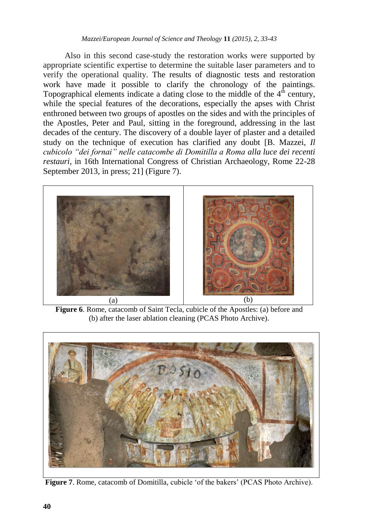#### *Mazzei/European Journal of Science and Theology* **11** *(2015), 2, 33-43*

Also in this second case-study the restoration works were supported by appropriate scientific expertise to determine the suitable laser parameters and to verify the operational quality. The results of diagnostic tests and restoration work have made it possible to clarify the chronology of the paintings. Topographical elements indicate a dating close to the middle of the  $4<sup>th</sup>$  century, while the special features of the decorations, especially the apses with Christ enthroned between two groups of apostles on the sides and with the principles of the Apostles, Peter and Paul, sitting in the foreground, addressing in the last decades of the century. The discovery of a double layer of plaster and a detailed study on the technique of execution has clarified any doubt [B. Mazzei, *Il cubicolo "dei fornai" nelle catacombe di Domitilla a Roma alla luce dei recenti restauri*, in 16th International Congress of Christian Archaeology, Rome 22-28 September 2013, in press; 21] (Figure 7).



**Figure 6**. Rome, catacomb of Saint Tecla, cubicle of the Apostles: (a) before and (b) after the laser ablation cleaning (PCAS Photo Archive).



**Figure 7**. Rome, catacomb of Domitilla, cubicle "of the bakers" (PCAS Photo Archive).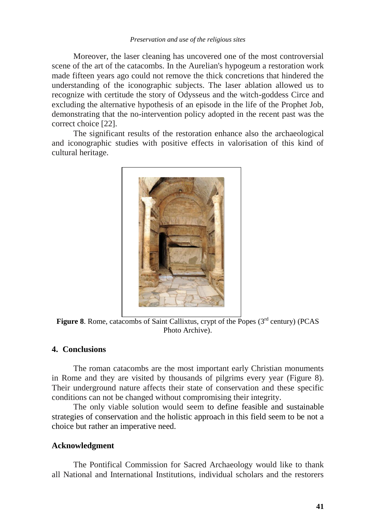Moreover, the laser cleaning has uncovered one of the most controversial scene of the art of the catacombs. In the Aurelian's hypogeum a restoration work made fifteen years ago could not remove the thick concretions that hindered the understanding of the iconographic subjects. The laser ablation allowed us to recognize with certitude the story of Odysseus and the witch-goddess Circe and excluding the alternative hypothesis of an episode in the life of the Prophet Job, demonstrating that the no-intervention policy adopted in the recent past was the correct choice [22].

The significant results of the restoration enhance also the archaeological and iconographic studies with positive effects in valorisation of this kind of cultural heritage.



Figure 8. Rome, catacombs of Saint Callixtus, crypt of the Popes (3<sup>rd</sup> century) (PCAS Photo Archive).

## **4. Conclusions**

The roman catacombs are the most important early Christian monuments in Rome and they are visited by thousands of pilgrims every year (Figure 8). Their underground nature affects their state of conservation and these specific conditions can not be changed without compromising their integrity.

The only viable solution would seem to define feasible and sustainable strategies of conservation and the holistic approach in this field seem to be not a choice but rather an imperative need.

#### **Acknowledgment**

The Pontifical Commission for Sacred Archaeology would like to thank all National and International Institutions, individual scholars and the restorers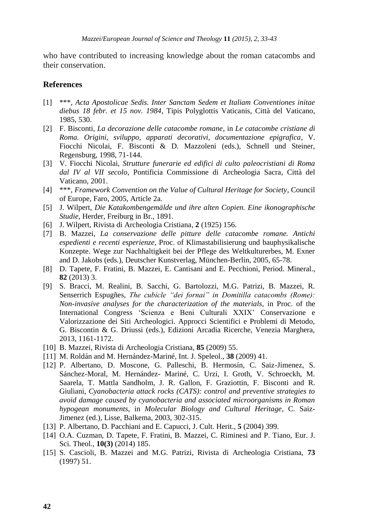who have contributed to increasing knowledge about the roman catacombs and their conservation.

#### **References**

- [1] \*\*\*, *Acta Apostolicae Sedis. Inter Sanctam Sedem et Italiam Conventiones initae diebus 18 febr. et 15 nov. 1984*, Tipis Polyglottis Vaticanis, Città del Vaticano, 1985, 530.
- [2] F. Bisconti, *La decorazione delle catacombe romane*, in *Le catacombe cristiane di Roma. Origini, sviluppo, apparati decorativi, documentazione epigrafica*, V. Fiocchi Nicolai, F. Bisconti & D. Mazzoleni (eds.), Schnell und Steiner, Regensburg, 1998, 71-144.
- [3] V. Fiocchi Nicolai, *Strutture funerarie ed edifici di culto paleocristiani di Roma dal IV al VII secolo*, Pontificia Commissione di Archeologia Sacra, Città del Vaticano, 2001.
- [4] \*\*\*, *Framework Convention on the Value of Cultural Heritage for Society*, Council of Europe, Faro, 2005, Article 2a.
- [5] J. Wilpert, *Die Katakombengemälde und ihre alten Copien. Eine ikonographische Studie*, Herder, Freiburg in Br., 1891.
- [6] J. Wilpert, Rivista di Archeologia Cristiana, **2** (1925) 156.
- [7] B. Mazzei, *La conservazione delle pitture delle catacombe romane. Antichi espedienti e recenti esperienze*, Proc. of Klimastabilisierung und bauphysikalische Konzepte. Wege zur Nachhaltigkeit bei der Pflege des Weltkulturerbes, M. Exner and D. Jakobs (eds.), Deutscher Kunstverlag, München-Berlin, 2005, 65-78.
- [8] D. Tapete, F. Fratini, B. Mazzei, E. Cantisani and E. Pecchioni, Period. Mineral., **82** (2013) 3.
- [9] S. Bracci, M. Realini, B. Sacchi, G. Bartolozzi, M.G. Patrizi, B. Mazzei, R. Senserrich Espugñes, *The cubicle "dei fornai" in Domitilla catacombs (Rome): Non-invasive analyses for the characterization of the materials*, in Proc. of the International Congress "Scienza e Beni Culturali XXIX" Conservazione e Valorizzazione dei Siti Archeologici. Approcci Scientifici e Problemi di Metodo, G. Biscontin & G. Driussi (eds.), Edizioni Arcadia Ricerche, Venezia Marghera, 2013, 1161-1172.
- [10] B. Mazzei, Rivista di Archeologia Cristiana, **85** (2009) 55.
- [11] M. Roldán and M. Hernández-Mariné, Int. J. Speleol., **38** (2009) 41.
- [12] P. Albertano, D. Moscone, G. Palleschi, B. Hermosín, C. Saiz-Jimenez, S. Sánchez-Moral, M. Hernández- Mariné, C. Urzi, I. Groth, V. Schroeckh, M. Saarela, T. Mattla Sandholm, J. R. Gallon, F. Graziottin, F. Bisconti and R. Giuliani, *Cyanobacteria attack rocks (CATS): control and preventive strategies to avoid damage caused by cyanobacteria and associated microorganisms in Roman hypogean monuments*, in *Molecular Biology and Cultural Heritage*, C. Saiz-Jimenez (ed.), Lisse, Balkema, 2003, 302-315.
- [13] P. Albertano, D. Pacchiani and E. Capucci, J. Cult. Herit., **5** (2004) 399.
- [14] O.A. Cuzman, D. Tapete, F. Fratini, B. Mazzei, C. Riminesi and P. Tiano, Eur. J. Sci. Theol., **10(3)** (2014) 185.
- [15] S. Cascioli, B. Mazzei and M.G. Patrizi, Rivista di Archeologia Cristiana, **73** (1997) 51.